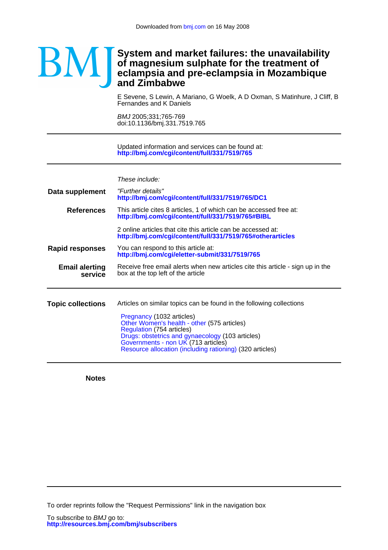## **System and market failures: the unavailability** BM **of magnesium sulphate for the treatment of eclampsia and pre-eclampsia in Mozambique and Zimbabwe**

Fernandes and K Daniels E Sevene, S Lewin, A Mariano, G Woelk, A D Oxman, S Matinhure, J Cliff, B

doi:10.1136/bmj.331.7519.765 BMJ 2005;331;765-769

**<http://bmj.com/cgi/content/full/331/7519/765>** Updated information and services can be found at:

These include:

| Data supplement                  | "Further details"<br>http://bmj.com/cgi/content/full/331/7519/765/DC1                                                                                                                                                                                                                                                                |  |  |
|----------------------------------|--------------------------------------------------------------------------------------------------------------------------------------------------------------------------------------------------------------------------------------------------------------------------------------------------------------------------------------|--|--|
| <b>References</b>                | This article cites 8 articles, 1 of which can be accessed free at:<br>http://bmj.com/cgi/content/full/331/7519/765#BIBL                                                                                                                                                                                                              |  |  |
|                                  | 2 online articles that cite this article can be accessed at:<br>http://bmj.com/cgi/content/full/331/7519/765#otherarticles                                                                                                                                                                                                           |  |  |
| <b>Rapid responses</b>           | You can respond to this article at:<br>http://bmj.com/cgi/eletter-submit/331/7519/765                                                                                                                                                                                                                                                |  |  |
| <b>Email alerting</b><br>service | Receive free email alerts when new articles cite this article - sign up in the<br>box at the top left of the article                                                                                                                                                                                                                 |  |  |
| <b>Topic collections</b>         | Articles on similar topics can be found in the following collections<br>Pregnancy (1032 articles)<br>Other Women's health - other (575 articles)<br>Regulation (754 articles)<br>Drugs: obstetrics and gynaecology (103 articles)<br>Governments - non UK (713 articles)<br>Resource allocation (including rationing) (320 articles) |  |  |

**Notes**

To order reprints follow the "Request Permissions" link in the navigation box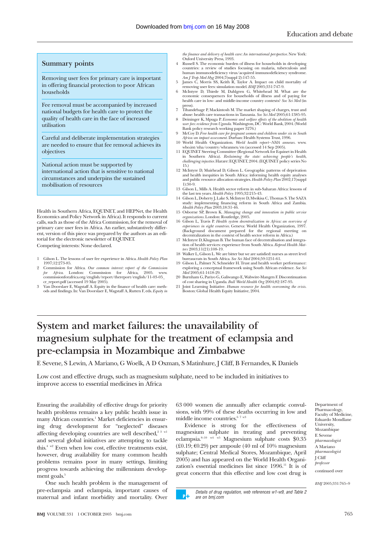### **Summary points**

Removing user fees for primary care is important in offering financial protection to poor African households

Fee removal must be accompanied by increased national budgets for health care to protect the quality of health care in the face of increased utilisation

Careful and deliberate implementation strategies are needed to ensure that fee removal achieves its objectives

National action must be supported by international action that is sensitive to national circumstances and underpins the sustained mobilisation of resources

Health in Southern Africa, EQUINET, and HEPNet, the Health Economics and Policy Network in Africa). It responds to current calls, such as those of the Africa Commission, for the removal of primary care user fees in Africa. An earlier, substantively different, version of this piece was prepared by the authors as an editorial for the electronic newsletter of EQUINET. Competing interests: None declared.

- 1 Gilson L. The lessons of user fee experience in Africa. *Health Policy Plan*
- 1997;12:273-85. 2 Commission for Africa. *Our common interest: report of the Commission for Africa.* London: Commission for Africa, 2005. www. commissionforafrica.org/english/report/thereport/english/11-03-05\_
- cr\_report.pdf (accessed 19 May 2005). 3 Van Doorslaer E, Wagstaff A. Equity in the finance of health care: meth-ods and findings. In: Van Doorslaer E, Wagstaff A, Rutten F, eds. *Equity in*

*the finance and delivery of health care: An international perspective*. New York: Oxford University Press, 1993.

- 4 Russell S. The economic burden of illness for households in developing countries: a review of studies focusing on malaria, tuberculosis and
- 
- human immunodeficiency virus/acquired immunodeficiency syndrome.<br>  $AmJ$  Frop Med Hyg 2004;<br>
5 James C, Morris SS, Keith R, Taylor A. Impact on child mortality of<br>
removing user fees: simulation model. *BMJ* 2005;331:747-9.
- press). 7 Tibandebage P, Mackintosh M. The market shaping of charges, trust and abuse: health care transactions in Tanzania. *Soc Sci Med* 2005;61:1385-95. 8 Deininger K, Mpuga P. *Economic and welfare effects of the abolition of health*
- *user fees: evidence from Uganda.* Washington, DC: World Bank, 2004. (World Bank policy research working paper 3276.)
- 9 McCoy D. *Free health care for pregnant women and children under six in South Africa: an impact assessment.* Durban: Health Systems Trust, 1996. 10 World Health Organization. *World health report—NHA annexes*. www. who.int/nha/country/whrannex/en (accessed 14 Sep 2005).
- 11 EQUINET Steering Committee (Regional Network for Equinet in Health in Southern Africa). *Reclaiming the state: achieving people's health, challenging injustice.*Harare: EQUINET, 2004. (EQUINET policy series No 15.)
- 12 McIntyre D, Muirhead D, Gilson L. Geographic patterns of deprivation and health inequities in South Africa: informing health equity and public resource allocation strategies. *Health Policy Plan* 2002;17(suppl 1):30-9.
- 13 Gilson L, Mills A. Health sector reform in sub-Saharan Africa: lessons of
- the last ten years. *Health Policy* 1995;32:215-43.<br>14 Gilson L, Doherty J, Lake S, McIntyre D, Mwikisa C, Thomas S. The SAZA<br>study: implementing financing reform in South Africa and Zambia.<br>*Health Policy Plean* 2003;18:3
- 15 Osborne SP, Brown K. *Managing change and innovation in public service organizations*. London: Routledge, 2005.
- 16 Gilson L, Travis P. *Health system decentralization in Africa: an overview of experiences in eight countries.* Geneva: World Health Organization, 1997. (Background document prepared for the regional meeting on decentralization in the context of health sector reform in Africa.)
- 17 McIntyre D, Klugman B. The human face of decentralisation and integration of health services: experience from South Africa. *Reprod Health Matters* 2003;11(21):108-19.
- 18 Walker L, Gilson L. We are bitter but we are satisfied: nurses as street level bureaucrats in South Africa. *Soc Sci Med* 2004;59:1251-61.
- 19 Gilson L, Palmer N, Schneider H. Trust and health worker performance: exploring a conceptual framework using South African evidence. *Soc Sci Med* 2005;61:1418-29.
- 20 Burnham G, Pariyo G, Galiwango E, Wabwire-Mangen F. Discontinuation of cost sharing in Uganda. *Bull World Health Org* 2004;82:187-95.
- 21 Joint Learning Initiative. *Human resource for health: overcoming the crisis*. Boston: Global Health Equity Initiative, 2004.

# **System and market failures: the unavailability of magnesium sulphate for the treatment of eclampsia and pre-eclampsia in Mozambique and Zimbabwe**

E Sevene, S Lewin, A Mariano, G Woelk, A D Oxman, S Matinhure, J Cliff, B Fernandes, K Daniels

Low cost and effective drugs, such as magnesium sulphate, need to be included in initiatives to improve access to essential medicines in Africa

Ensuring the availability of effective drugs for priority health problems remains a key public health issue in many African countries.<sup>1</sup> Market deficiencies in ensuring drug development for "neglected" diseases affecting developing countries are well described,<sup>23 w1</sup> and several global initiatives are attempting to tackle this.<sup>4 w2</sup> Even when low cost, effective treatments exist, however, drug availability for many common health problems remains poor in many settings, limiting progress towards achieving the millennium development goals.<sup>5</sup>

One such health problem is the management of pre-eclampsia and eclampsia, important causes of maternal and infant morbidity and mortality. Over

63 000 women die annually after eclamptic convulsions, with 99% of these deaths occurring in low and middle income countries.<sup>67</sup>

Evidence is strong for the effectiveness of magnesium sulphate in treating and preventing eclampsia.8-10 w4 w5 Magnesium sulphate costs  $$0.35$  $(£0.19, €0.29)$  per ampoule (40 ml of 10% magnesium sulphate; Central Medical Stores, Mozambique, April 2005) and has appeared on the World Health Organization's essential medicines list since 1996.<sup>11</sup> It is of great concern that this effective and low cost drug is

*BMJ* 2005;331:765–9

Department of Pharmacology, Faculty of Medicine, Eduardo Mondlane University, Mozambique E Sevene *pharmacologist* A Mariano *pharmacologist* J Cliff *professor* continued over

Details of drug regulation, web references w1-w9, and Table 2 are on bmj.com

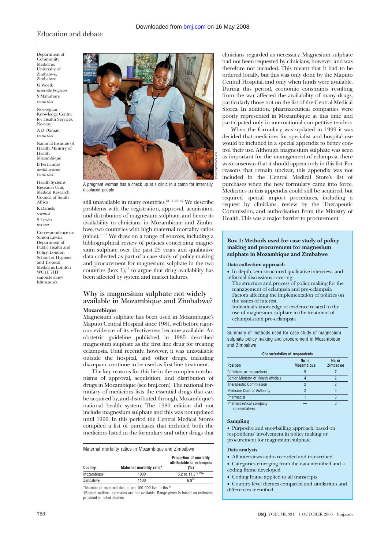Department of Community Medicine, University of Zimbabwe, Zimbabwe G Woelk *associate professor* S Matinhure *researcher*

Norwegian Knowledge Centre for Health Services, Norway A D Oxman *researcher*

National Institute of Health, Ministry of Health, Mozambique B Fernandes *health systems researcher*

Health Systems Research Unit, Medical Research Council of South Africa K Daniels *scientist* S Lewin *lecturer*

Correspondence to: Simon Lewin, Department of Public Health and Policy, London School of Hygiene and Tropical Medicine, London WC1E 7HT simon.lewin@ lshtm.ac.uk



A pregnant woman has a check up at a clinic in a camp for internally displaced people

still unavailable in many countries.<sup>12 13 w6 w7</sup> We describe problems with the registration, approval, acquisition, and distribution of magnesium sulphate, and hence its availability to clinicians, in Mozambique and Zimbabwe, two countries with high maternal mortality ratios (table). $14-16$  We draw on a range of sources, including a bibliographical review of policies concerning magnesium sulphate over the past 25 years and qualitative data collected as part of a case study of policy making and procurement for magnesium sulphate in the two countries (box  $1$ ),<sup>17</sup> to argue that drug availability has been affected by system and market failures.

## **Why is magnesium sulphate not widely available in Mozambique and Zimbabwe?**

#### **Mozambique**

Magnesium sulphate has been used in Mozambique's Maputo Central Hospital since 1981, well before rigorous evidence of its effectiveness became available. An obstetric guideline published in 1985 described magnesium sulphate as the first line drug for treating eclampsia. Until recently, however, it was unavailable outside the hospital, and other drugs, including diazepam, continue to be used as first line treatment.

The key reasons for this lie in the complex mechanisms of approval, acquisition, and distribution of drugs in Mozambique (see bmj.com). The national formulary of medicines lists the essential drugs that can be acquired by, and distributed through, Mozambique's national health system. The 1980 edition did not include magnesium sulphate and this was not updated until 1999. In this period the Central Medical Stores compiled a list of purchases that included both the medicines listed in the formulary and other drugs that

Maternal mortality ratios in Mozambique and Zimbabwe

| Country    | Maternal mortality ratio* | Proportion of mortality<br>attributable to eclampsia<br>(%) |
|------------|---------------------------|-------------------------------------------------------------|
| Mozambique | 1000                      | 3.2 to 11.3 <sup>15 w8</sup> t                              |
| Zimbabwe   | 1100                      | $6.9^{16}$                                                  |

\*Number of maternal deaths per 100 000 live births.14

†Robust national estimates are not available. Range given is based on estimates provided in listed studies.

clinicians regarded as necessary. Magnesium sulphate had not been requested by clinicians, however, and was therefore not included. This meant that it had to be ordered locally, but this was only done by the Maputo Central Hospital, and only when funds were available. During this period, economic constraints resulting from the war affected the availability of many drugs, particularly those not on the list of the Central Medical Stores. In addition, pharmaceutical companies were poorly represented in Mozambique at this time and participated only in international competitive tenders.

When the formulary was updated in 1999 it was decided that medicines for specialist and hospital use would be included in a special appendix to better control their use. Although magnesium sulphate was seen as important for the management of eclampsia, there was consensus that it should appear only in this list. For reasons that remain unclear, this appendix was not included in the Central Medical Store's list of purchases when the new formulary came into force. Medicines in this appendix could still be acquired, but required special import procedures, including a request by clinicians, review by the Therapeutic Commission, and authorisation from the Ministry of Health. This was a major barrier to procurement.

#### **Box 1: Methods used for case study of policy making and procurement for magnesium sulphate in Mozambique and Zimbabwe**

#### **Data collection approach**

- In-depth, semistructured qualitative interviews and informal discussions covering:
	- The structure and process of policy making for the management of eclampsia and pre-eclampsia Factors affecting the implementation of policies on the issues of interest
	- Individual's knowledge of evidence related to the use of magnesium sulphate in the treatment of eclampsia and pre-eclampsia

Summary of methods used for case study of magnesium sulphate policy making and procurement in Mozambique and Zimbabwe

| <b>Characteristics of respondents</b>     |                            |                   |  |
|-------------------------------------------|----------------------------|-------------------|--|
| <b>Position</b>                           | No in<br><b>Mozambique</b> | No in<br>Zimbabwe |  |
| Clinicians or researchers                 | 5                          |                   |  |
| Senior Ministry of Health officials       |                            | 2                 |  |
| <b>Therapeutic Commission</b>             | $\mathfrak{p}$             | $\mathfrak{p}$    |  |
| <b>Medicine Control Authority</b>         | $\mathfrak{p}$             | $\mathfrak{p}$    |  |
| Pharmacist                                |                            | 3                 |  |
| Pharmaceutical company<br>representatives |                            | 3                 |  |

#### **Sampling**

• Purposive and snowballing approach, based on respondents' involvement in policy making or procurement for magnesium sulphate

#### **Data analysis**

- All interviews audio recorded and transcribed
- Categories emerging from the data identified and a
- coding frame developed
- Coding frame applied to all transcripts
- Country level themes compared and similarities and differences identified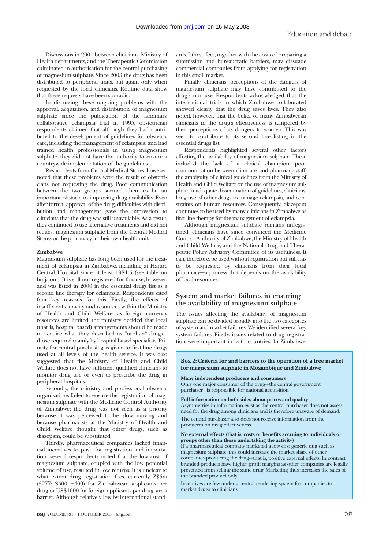Discussions in 2001 between clinicians, Ministry of Health departments, and the Therapeutic Commission culminated in authorisation for the central purchasing of magnesium sulphate. Since 2003 the drug has been distributed to peripheral units, but again only when requested by the local clinicians. Routine data show that these requests have been sporadic.

In discussing these ongoing problems with the approval, acquisition, and distribution of magnesium sulphate since the publication of the landmark collaborative eclampsia trial in 1995, obstetrician respondents claimed that although they had contributed to the development of guidelines for obstetric care, including the management of eclampsia, and had trained health professionals in using magnesium sulphate, they did not have the authority to ensure a countrywide implementation of the guidelines.

Respondents from Central Medical Stores, however, noted that these problems were the result of obstetricians not requesting the drug. Poor communication between the two groups seemed, then, to be an important obstacle to improving drug availability. Even after formal approval of the drug, difficulties with distribution and management gave the impression to clinicians that the drug was still unavailable. As a result, they continued to use alternative treatments and did not request magnesium sulphate from the Central Medical Stores or the pharmacy in their own health unit.

#### **Zimbabwe**

Magnesium sulphate has long been used for the treatment of eclampsia in Zimbabwe, including at Harare Central Hospital since at least 1984-5 (see table on bmj.com). It is still not registered for this use, however, and was listed in 2000 in the essential drugs list as a second line therapy for eclampsia. Respondents cited four key reasons for this. Firstly, the effects of insufficient capacity and resources within the Ministry of Health and Child Welfare: as foreign currency resources are limited, the ministry decided that local (that is, hospital based) arrangements should be made to acquire what they described as "orphan" drugs those required mainly by hospital based specialists. Priority for central purchasing is given to first line drugs used at all levels of the health service. It was also suggested that the Ministry of Health and Child Welfare does not have sufficient qualified clinicians to monitor drug use or even to prescribe the drug in peripheral hospitals.

Secondly, the ministry and professional obstetric organisations failed to ensure the registration of magnesium sulphate with the Medicine Control Authority of Zimbabwe: the drug was not seen as a priority because it was perceived to be slow moving and because pharmacists at the Ministry of Health and Child Welfare thought that other drugs, such as diazepam, could be substituted.

Thirdly, pharmaceutical companies lacked financial incentives to push for registration and importation: several respondents noted that the low cost of magnesium sulphate, coupled with the low potential volume of use, resulted in low returns. It is unclear to what extent drug registration fees, currently Z\$5m (£277; \$500;  $\epsilon$ 409) for Zimbabwean applicants per drug or US\$1000 for foreign applicants per drug, are a barrier. Although relatively low by international standards,18 these fees, together with the costs of preparing a submission and bureaucratic barriers, may dissuade commercial companies from applying for registration in this small market.

Finally, clinicians' perceptions of the dangers of magnesium sulphate may have contributed to the drug's non-use. Respondents acknowledged that the international trials in which Zimbabwe collaborated showed clearly that the drug saves lives. They also noted, however, that the belief of many Zimbabwean clinicians in the drug's effectiveness is tempered by their perceptions of its dangers to women. This was seen to contribute to its second line listing in the essential drugs list.

Respondents highlighted several other factors affecting the availability of magnesium sulphate. These included the lack of a clinical champion, poor communication between clinicians and pharmacy staff, the ambiguity of clinical guidelines from the Ministry of Health and Child Welfare on the use of magnesium sulphate, inadequate dissemination of guidelines, clinicians' long use of other drugs to manage eclampsia, and constraints on human resources. Consequently, diazepam continues to be used by many clinicians in Zimbabwe as first line therapy for the management of eclampsia.

Although magnesium sulphate remains unregistered, clinicians have since convinced the Medicine Control Authority of Zimbabwe, the Ministry of Health and Child Welfare, and the National Drug and Therapeutic Policy Advisory Committee of its usefulness. It can, therefore, be used without registration but still has to be requested by clinicians from their local pharmacy—a process that depends on the availability of local resources.

### **System and market failures in ensuring the availability of magnesium sulphate**

The issues affecting the availability of magnesium sulphate can be divided broadly into the two categories of system and market failures. We identified several key system failures. Firstly, issues related to drug registration were important in both countries. In Zimbabwe,

#### **Box 2: Criteria for and barriers to the operation of a free market for magnesium sulphate in Mozambique and Zimbabwe**

### **Many independent producers and consumers**

Only one major consumer of the drug—the central government purchaser—is responsible for national acquisition

#### **Full information on both sides about prices and quality**

Asymmetries in information exist as the central purchaser does not assess need for the drug among clinicians and is therefore unaware of demand.

The central purchaser also does not receive information from the producers on drug effectiveness

#### **No external effects (that is, costs or benefits accruing to individuals or groups other than those undertaking the activity)**

If a pharmaceutical company marketed a low cost generic dug such as magnesium sulphate, this could increase the market share of other companies producing the drug—that is, positive external effects. In contrast, branded products have higher profit margins as other companies are legally prevented from selling the same drug. Marketing thus increases the sales of the branded product only.

Incentives are few under a central tendering system for companies to market drugs to clinicians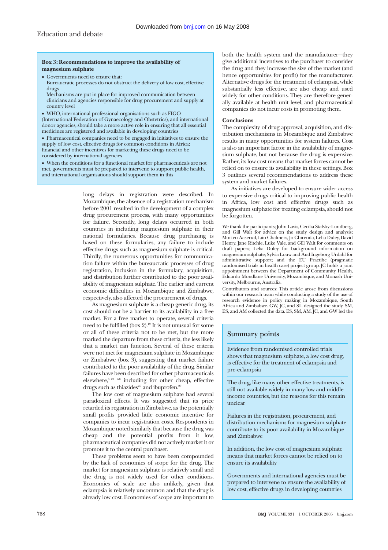#### **Box 3: Recommendations to improve the availability of magnesium sulphate**

• Governments need to ensure that: Bureaucratic processes do not obstruct the delivery of low cost, effective drugs

Mechanisms are put in place for improved communication between clinicians and agencies responsible for drug procurement and supply at country level

• WHO, international professional organisations such as FIGO (International Federation of Gynaecology and Obstetrics), and international donor agencies, should take a more active role in ensuring that all essential medicines are registered and available in developing countries

• Pharmaceutical companies need to be engaged in initiatives to ensure the supply of low cost, effective drugs for common conditions in Africa; financial and other incentives for marketing these drugs need to be considered by international agencies

• When the conditions for a functional market for pharmaceuticals are not met, governments must be prepared to intervene to support public health, and international organisations should support them in this

> long delays in registration were described. In Mozambique, the absence of a registration mechanism before 2001 resulted in the development of a complex drug procurement process, with many opportunities for failure. Secondly, long delays occurred in both countries in including magnesium sulphate in their national formularies. Because drug purchasing is based on these formularies, any failure to include effective drugs such as magnesium sulphate is critical. Thirdly, the numerous opportunities for communication failure within the bureaucratic processes of drug registration, inclusion in the formulary, acquisition, and distribution further contributed to the poor availability of magnesium sulphate. The earlier and current economic difficulties in Mozambique and Zimbabwe, respectively, also affected the procurement of drugs.

> As magnesium sulphate is a cheap generic drug, its cost should not be a barrier to its availability in a free market. For a free market to operate, several criteria need to be fulfilled (box 2).19 It is not unusual for some or all of these criteria not to be met, but the more marked the departure from these criteria, the less likely that a market can function. Several of these criteria were not met for magnesium sulphate in Mozambique or Zimbabwe (box 3), suggesting that market failure contributed to the poor availability of the drug. Similar failures have been described for other pharmaceuticals elsewhere,<sup>3 20</sup> w<sup>8</sup> including for other cheap, effective drugs such as thiazides<sup>w9</sup> and ibuprofen.<sup>20</sup>

> The low cost of magnesium sulphate had several paradoxical effects. It was suggested that its price retarded its registration in Zimbabwe, as the potentially small profits provided little economic incentive for companies to incur registration costs. Respondents in Mozambique noted similarly that because the drug was cheap and the potential profits from it low, pharmaceutical companies did not actively market it or promote it to the central purchaser.

> These problems seem to have been compounded by the lack of economies of scope for the drug. The market for magnesium sulphate is relatively small and the drug is not widely used for other conditions. Economies of scale are also unlikely, given that eclampsia is relatively uncommon and that the drug is already low cost. Economies of scope are important to

both the health system and the manufacturer—they give additional incentives to the purchaser to consider the drug and they increase the size of the market (and hence opportunities for profit) for the manufacturer. Alternative drugs for the treatment of eclampsia, while substantially less effective, are also cheap and used widely for other conditions. They are therefore generally available at health unit level, and pharmaceutical companies do not incur costs in promoting them.

#### **Conclusions**

The complexity of drug approval, acquisition, and distribution mechanisms in Mozambique and Zimbabwe results in many opportunities for system failures. Cost is also an important factor in the availability of magnesium sulphate, but not because the drug is expensive. Rather, its low cost means that market forces cannot be relied on to ensure its availability in these settings. Box 3 outlines several recommendations to address these system and market failures.

As initiatives are developed to ensure wider access to expensive drugs critical to improving public health in Africa, low cost and effective drugs such as magnesium sulphate for treating eclampsia, should not be forgotten.

We thank the participants; John Lavis, Cecilia Stalsby-Lundberg, and Gill Walt for advice on the study design and analysis; Morten Aaserud, Iain Chalmers, Jo Chirenda, Lelia Duley, David Henry, Jane Ritchie, Luke Vale, and Gill Walt for comments on draft papers; Lelia Duley for background information on magnesium sulphate; Sylvia Louw and Aud Ingeborg Urdahl for administrative support; and the EU Practihc (pragmatic randomised trials in health care) project group. JC holds a joint appointment between the Department of Community Health, Eduardo Mondlane University, Mozambique, and Monash University, Melbourne, Australia.

Contributors and sources: This article arose from discussions within our research team while conducting a study of the use of research evidence in policy making in Mozambique, South Africa and Zimbabwe. GW, JC, and SL designed the study. SM, ES, and AM collected the data. ES, SM, AM, JC, and GW led the

## **Summary points**

Evidence from randomised controlled trials shows that magnesium sulphate, a low cost drug, is effective for the treatment of eclampsia and pre-eclampsia

The drug, like many other effective treatments, is still not available widely in many low and middle income countries, but the reasons for this remain unclear

Failures in the registration, procurement, and distribution mechanisms for magnesium sulphate contribute to its poor availability in Mozambique and Zimbabwe

In addition, the low cost of magnesium sulphate means that market forces cannot be relied on to ensure its availability

Governments and international agencies must be prepared to intervene to ensure the availability of low cost, effective drugs in developing countries